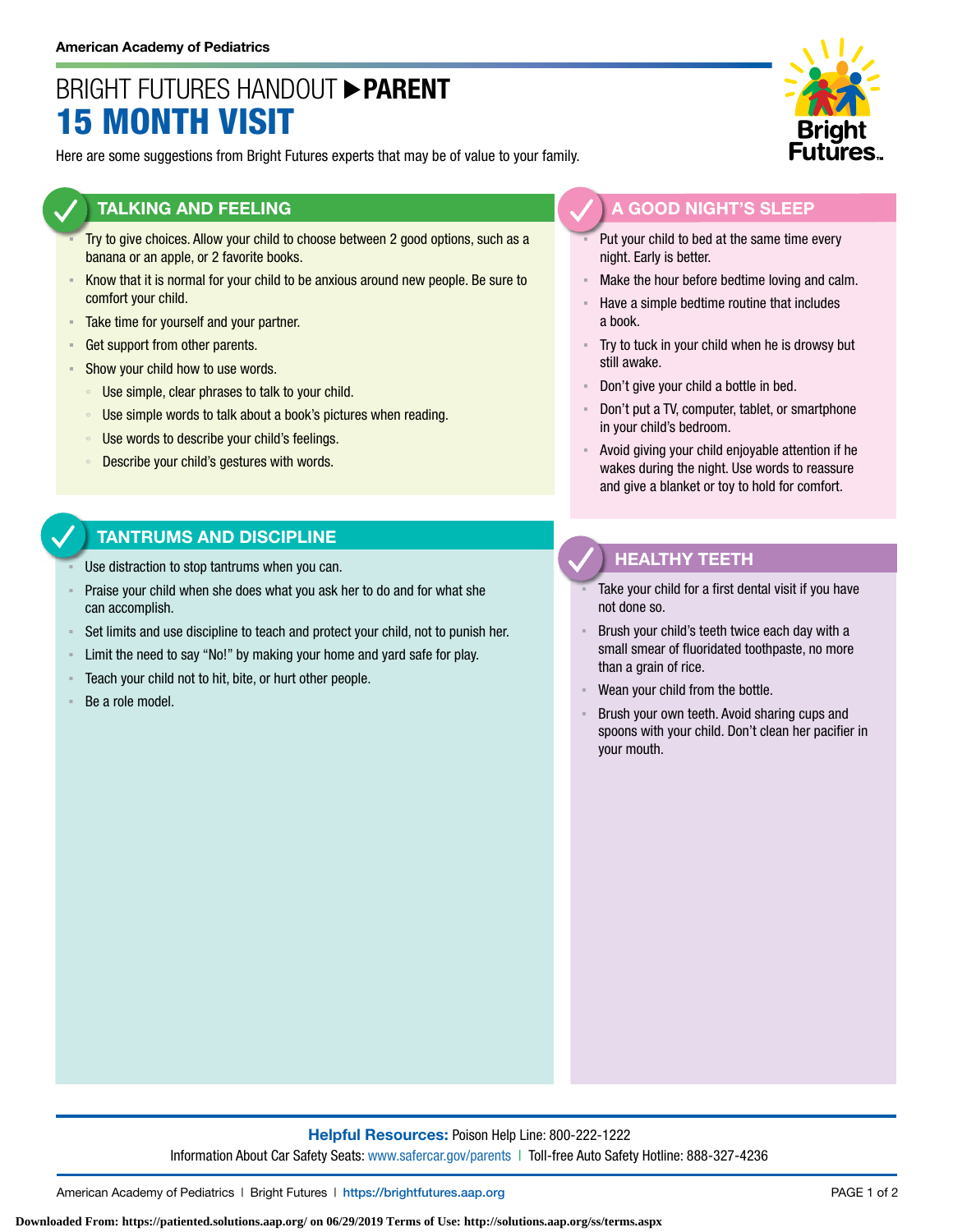# BRIGHT FUTURES HANDOUT **PARENT** 15 MONTH VISIT

Here are some suggestions from Bright Futures experts that may be of value to your family.

#### **TALKING AND FEELING**

- Try to give choices. Allow your child to choose between 2 good options, such as a banana or an apple, or 2 favorite books.
- **EXEL A** Know that it is normal for your child to be anxious around new people. Be sure to comfort your child.
- **EXECUTE:** Take time for yourself and your partner.
- **Get support from other parents.**
- **EXECUTE:** Show your child how to use words.
	- Use simple, clear phrases to talk to your child.
	- Use simple words to talk about a book's pictures when reading.
	- Use words to describe your child's feelings.
	- Describe your child's gestures with words.

### **TANTRUMS AND DISCIPLINE**

- Use distraction to stop tantrums when you can.
- Praise your child when she does what you ask her to do and for what she can accomplish.
- Set limits and use discipline to teach and protect your child, not to punish her.
- Limit the need to say "No!" by making your home and yard safe for play.
- Teach your child not to hit, bite, or hurt other people.
- Be a role model.



### **A GOOD NIGHT'S SLEEP**

- Put your child to bed at the same time every night. Early is better.
- Make the hour before bedtime loving and calm.
- Have a simple bedtime routine that includes a book.
- Try to tuck in your child when he is drowsy but still awake.
- Don't give your child a bottle in bed.
- Don't put a TV, computer, tablet, or smartphone in your child's bedroom.
- Avoid giving your child enjoyable attention if he wakes during the night. Use words to reassure and give a blanket or toy to hold for comfort.

### **HEALTHY TEETH**

- Take your child for a first dental visit if you have not done so.
- Brush your child's teeth twice each day with a small smear of fluoridated toothpaste, no more than a grain of rice.
- Wean your child from the bottle.
- Brush your own teeth. Avoid sharing cups and spoons with your child. Don't clean her pacifier in your mouth.

**Helpful Resources:** Poison Help Line: 800-222-1222 Information About Car Safety Seats: [www.safercar.gov/parents](https://www.nhtsa.gov/parents-and-caregivers) | Toll-free Auto Safety Hotline: 888-327-4236

American Academy of Pediatrics | Bright Futures | https://[brightfutures.aap.org](https://brightfutures.aap.org/Pages/default.aspx) PAGE 1 of 2